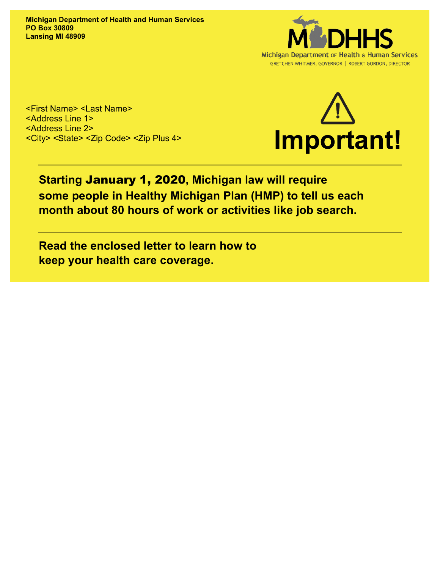**Michigan Department of Health and Human Services PO Box 30809 Lansing MI 48909**



<First Name> <Last Name> <Address Line 1> <Address Line 2> <City> <State> <Zip Code> <Zip Plus 4>



## **Starting** January 1, 2020**, Michigan law will require some people in Healthy Michigan Plan (HMP) to tell us each month about 80 hours of work or activities like job search.**

**Read the enclosed letter to learn how to keep your health care coverage.**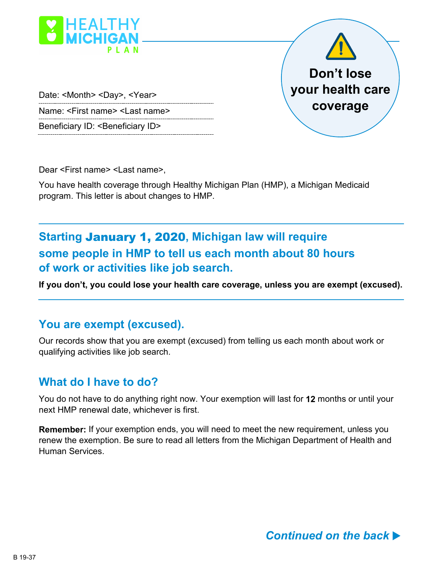

Date: <Month> <Day>, <Year>

Name: <First name> <Last name>

Beneficiary ID: < Beneficiary ID>

Dear <First name> <Last name>,

You have health coverage through Healthy Michigan Plan (HMP), a Michigan Medicaid program. This letter is about changes to HMP.

# **Starting** January 1, 2020**, Michigan law will require some people in HMP to tell us each month about 80 hours of work or activities like job search.**

**If you don't, you could lose your health care coverage, unless you are exempt (excused).**

#### **You are exempt (excused).**

Our records show that you are exempt (excused) from telling us each month about work or qualifying activities like job search.

#### **What do I have to do?**

You do not have to do anything right now. Your exemption will last for **12** months or until your next HMP renewal date, whichever is first.

**Remember:** If your exemption ends, you will need to meet the new requirement, unless you renew the exemption. Be sure to read all letters from the Michigan Department of Health and Human Services.

**Don't lose** 

**your health care** 

**coverage**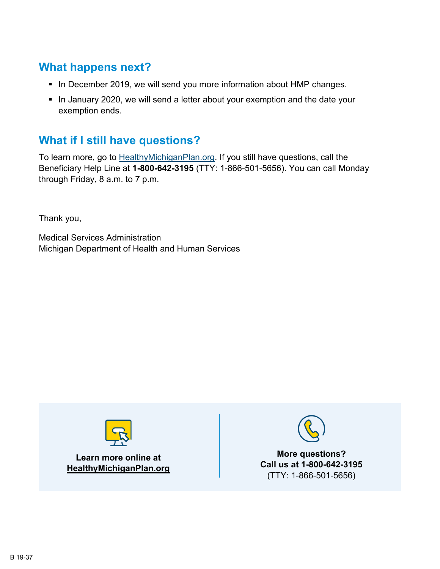### **What happens next?**

- In December 2019, we will send you more information about HMP changes.
- In January 2020, we will send a letter about your exemption and the date your exemption ends.

## **What if I still have questions?**

To learn more, go to **HealthyMichiganPlan.org.** If you still have questions, call the Beneficiary Help Line at **1-800-642-3195** (TTY: 1-866-501-5656). You can call Monday through Friday, 8 a.m. to 7 p.m.

Thank you,

Medical Services Administration Michigan Department of Health and Human Services



**Learn more online at HealthyMichiganPlan.org**



**More questions? Call us at 1-800-642-3195** (TTY: 1-866-501-5656)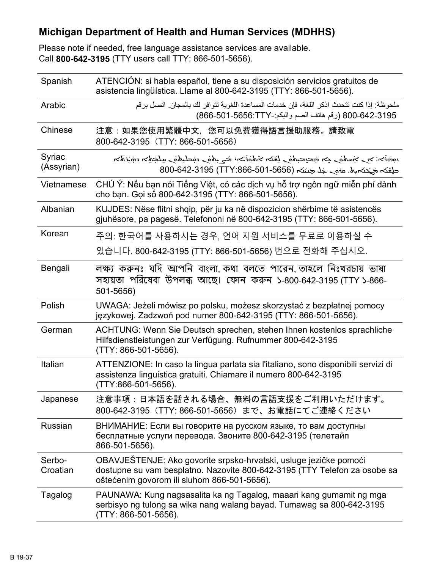### **Michigan Department of Health and Human Services (MDHHS)**

Please note if needed, free language assistance services are available. Call **800-642-3195** (TTY users call TTY: 866-501-5656).

| Spanish              | ATENCIÓN: si habla español, tiene a su disposición servicios gratuitos de<br>asistencia lingüística. Llame al 800-642-3195 (TTY: 866-501-5656).                                               |
|----------------------|-----------------------------------------------------------------------------------------------------------------------------------------------------------------------------------------------|
| Arabic               | ملحوظة: إذا كنت تتحدث اذكر اللغة، فإن خدمات المساعدة اللغوية تتوافر لك بالمجان. اتصل برقم<br>800-642-3195 (رقم هاتف الصم والبكم:-8656:TTY) (866-501-866)                                      |
| Chinese              | 注意:如果您使用繁體中文, 您可以免費獲得語言援助服務。請致電<br>800-642-3195 (TTY: 866-501-5656)                                                                                                                           |
| Syriac<br>(Assyrian) | הكاتنيه تحكيك رفاعيكشة رفاعه بت فتخشفات تكفي رفاعيته تجارفاعسين ربز نختموه<br>حلِعَنه جَحِنه ماه. عامَى جَلِّ حِسَنه (1-565-501-642-3195 (TTY:866)                                            |
| Vietnamese           | CHÚ Ý: Nếu bạn nói Tiếng Việt, có các dịch vụ hỗ trợ ngôn ngữ miễn phí dành<br>cho bạn. Gọi số 800-642-3195 (TTY: 866-501-5656).                                                              |
| Albanian             | KUJDES: Nëse flitni shqip, për ju ka në dispozicion shërbime të asistencës<br>gjuhësore, pa pagesë. Telefononi në 800-642-3195 (TTY: 866-501-5656).                                           |
| Korean               | 주의: 한국어를 사용하시는 경우, 언어 지원 서비스를 무료로 이용하실 수                                                                                                                                                      |
|                      | 있습니다. 800-642-3195 (TTY: 866-501-5656) 번으로 전화해 주십시오.                                                                                                                                          |
| Bengali              | লক্ষ্য করুনঃ যদি আপনি বাংলা কথা বলতে পারেন তাহলে নিঃখরচায় ভাষা<br>সহায়তা পরিষেবা উপলব্ধ আছে। ফোন করুন ১-৪00-642-3195 (TTY ১-৪66-<br>501-5656)                                               |
| Polish               | UWAGA: Jeżeli mówisz po polsku, możesz skorzystać z bezpłatnej pomocy<br>językowej. Zadzwoń pod numer 800-642-3195 (TTY: 866-501-5656).                                                       |
| German               | ACHTUNG: Wenn Sie Deutsch sprechen, stehen Ihnen kostenlos sprachliche<br>Hilfsdienstleistungen zur Verfügung. Rufnummer 800-642-3195<br>(TTY: 866-501-5656).                                 |
| Italian              | ATTENZIONE: In caso la lingua parlata sia l'italiano, sono disponibili servizi di<br>assistenza linguistica gratuiti. Chiamare il numero 800-642-3195<br>(TTY:866-501-5656).                  |
| Japanese             | 注意事項:日本語を話される場合、無料の言語支援をご利用いただけます。<br>800-642-3195 (TTY: 866-501-5656) まで、お電話にてご連絡ください                                                                                                        |
| Russian              | ВНИМАНИЕ: Если вы говорите на русском языке, то вам доступны<br>бесплатные услуги перевода. Звоните 800-642-3195 (телетайп<br>866-501-5656).                                                  |
| Serbo-<br>Croatian   | OBAVJEŠTENJE: Ako govorite srpsko-hrvatski, usluge jezičke pomoći<br>dostupne su vam besplatno. Nazovite 800-642-3195 (TTY Telefon za osobe sa<br>oštećenim govorom ili sluhom 866-501-5656). |
| Tagalog              | PAUNAWA: Kung nagsasalita ka ng Tagalog, maaari kang gumamit ng mga<br>serbisyo ng tulong sa wika nang walang bayad. Tumawag sa 800-642-3195<br>(TTY: 866-501-5656).                          |